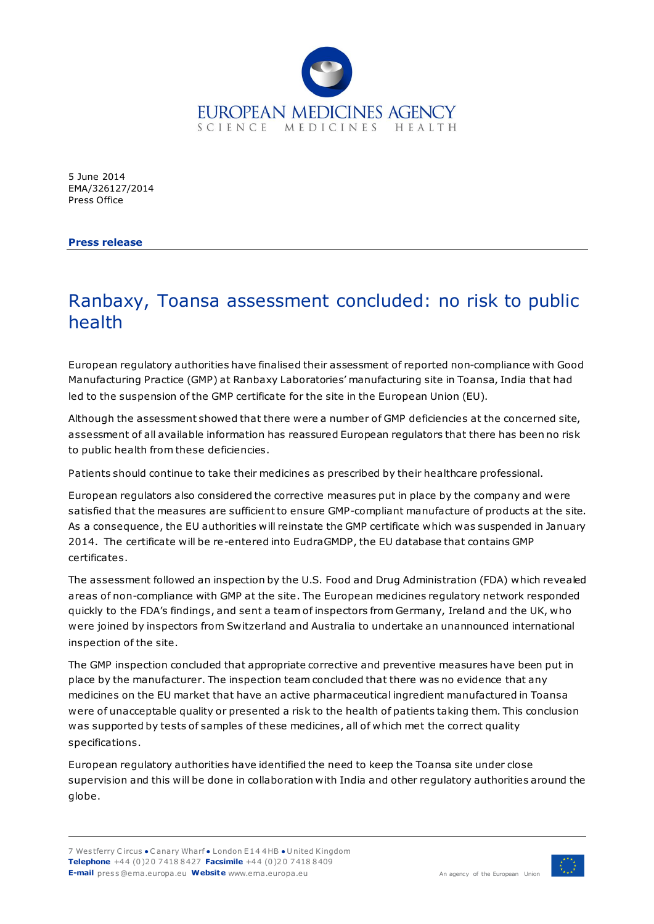

5 June 2014 EMA/326127/2014 Press Office

**Press release**

## Ranbaxy, Toansa assessment concluded: no risk to public health

European regulatory authorities have finalised their assessment of reported non-compliance with Good Manufacturing Practice (GMP) at Ranbaxy Laboratories' manufacturing site in Toansa, India that had led to the suspension of the GMP certificate for the site in the European Union (EU).

Although the assessment showed that there were a number of GMP deficiencies at the concerned site, assessment of all available information has reassured European regulators that there has been no risk to public health from these deficiencies.

Patients should continue to take their medicines as prescribed by their healthcare professional.

European regulators also considered the corrective measures put in place by the company and were satisfied that the measures are sufficient to ensure GMP-compliant manufacture of products at the site. As a consequence, the EU authorities will reinstate the GMP certificate which was suspended in January 2014. The certificate will be re-entered into EudraGMDP, the EU database that contains GMP certificates.

The assessment followed an inspection by the U.S. Food and Drug Administration (FDA) which revealed areas of non-compliance with GMP at the site. The European medicines regulatory network responded quickly to the FDA's findings, and sent a team of inspectors from Germany, Ireland and the UK, who were joined by inspectors from Switzerland and Australia to undertake an unannounced international inspection of the site.

The GMP inspection concluded that appropriate corrective and preventive measures have been put in place by the manufacturer. The inspection team concluded that there was no evidence that any medicines on the EU market that have an active pharmaceutical ingredient manufactured in Toansa were of unacceptable quality or presented a risk to the health of patients taking them. This conclusion was supported by tests of samples of these medicines, all of which met the correct quality specifications.

European regulatory authorities have identified the need to keep the Toansa site under close supervision and this will be done in collaboration with India and other regulatory authorities around the globe.